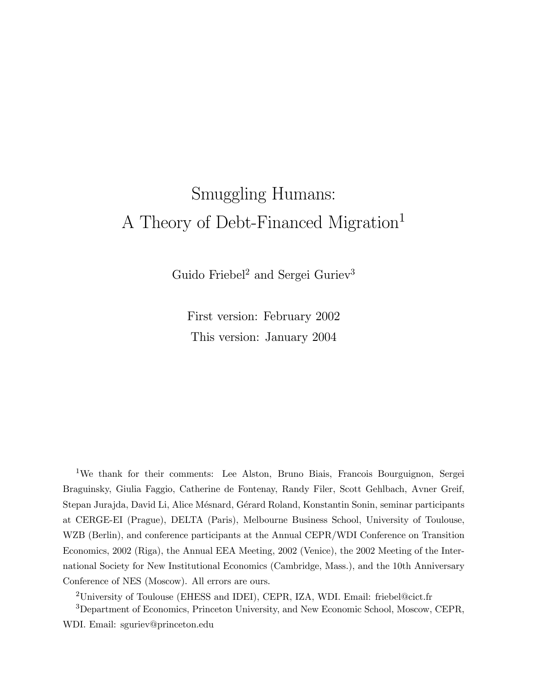# Smuggling Humans: A Theory of Debt-Financed Migration<sup>1</sup>

Guido Friebel<sup>2</sup> and Sergei Guriev<sup>3</sup>

First version: February 2002 This version: January 2004

<sup>1</sup>We thank for their comments: Lee Alston, Bruno Biais, Francois Bourguignon, Sergei Braguinsky, Giulia Faggio, Catherine de Fontenay, Randy Filer, Scott Gehlbach, Avner Greif, Stepan Jurajda, David Li, Alice Mésnard, Gérard Roland, Konstantin Sonin, seminar participants at CERGE-EI (Prague), DELTA (Paris), Melbourne Business School, University of Toulouse, WZB (Berlin), and conference participants at the Annual CEPR/WDI Conference on Transition Economics, 2002 (Riga), the Annual EEA Meeting, 2002 (Venice), the 2002 Meeting of the International Society for New Institutional Economics (Cambridge, Mass.), and the 10th Anniversary Conference of NES (Moscow). All errors are ours.

<sup>2</sup>University of Toulouse (EHESS and IDEI), CEPR, IZA, WDI. Email: friebel@cict.fr

<sup>3</sup>Department of Economics, Princeton University, and New Economic School, Moscow, CEPR, WDI. Email: sguriev@princeton.edu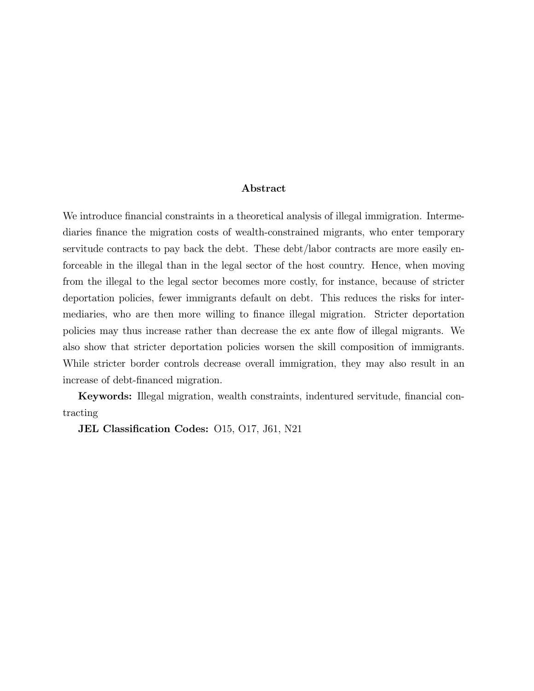#### Abstract

We introduce financial constraints in a theoretical analysis of illegal immigration. Intermediaries finance the migration costs of wealth-constrained migrants, who enter temporary servitude contracts to pay back the debt. These debt/labor contracts are more easily enforceable in the illegal than in the legal sector of the host country. Hence, when moving from the illegal to the legal sector becomes more costly, for instance, because of stricter deportation policies, fewer immigrants default on debt. This reduces the risks for intermediaries, who are then more willing to finance illegal migration. Stricter deportation policies may thus increase rather than decrease the ex ante flow of illegal migrants. We also show that stricter deportation policies worsen the skill composition of immigrants. While stricter border controls decrease overall immigration, they may also result in an increase of debt-financed migration.

Keywords: Illegal migration, wealth constraints, indentured servitude, financial contracting

JEL Classification Codes: 015, 017, J61, N21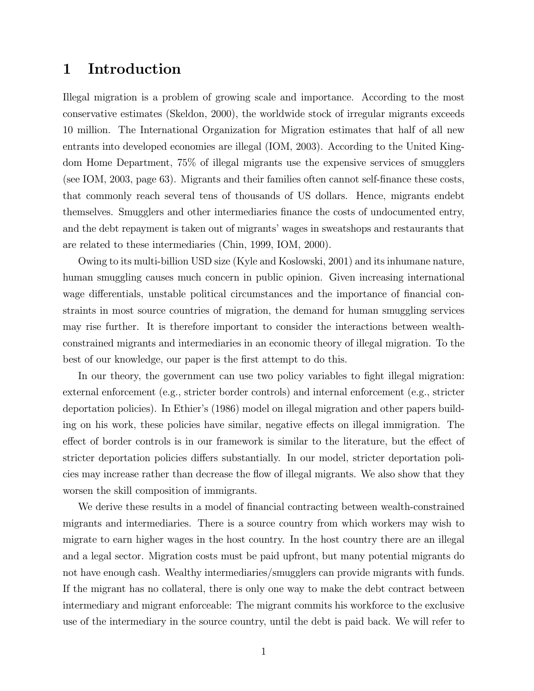### 1 Introduction

Illegal migration is a problem of growing scale and importance. According to the most conservative estimates (Skeldon, 2000), the worldwide stock of irregular migrants exceeds 10 million. The International Organization for Migration estimates that half of all new entrants into developed economies are illegal (IOM, 2003). According to the United Kingdom Home Department, 75% of illegal migrants use the expensive services of smugglers (see IOM, 2003, page 63). Migrants and their families often cannot self-finance these costs, that commonly reach several tens of thousands of US dollars. Hence, migrants endebt themselves. Smugglers and other intermediaries finance the costs of undocumented entry, and the debt repayment is taken out of migrants' wages in sweatshops and restaurants that are related to these intermediaries (Chin, 1999, IOM, 2000).

Owing to its multi-billion USD size (Kyle and Koslowski, 2001) and its inhumane nature, human smuggling causes much concern in public opinion. Given increasing international wage differentials, unstable political circumstances and the importance of financial constraints in most source countries of migration, the demand for human smuggling services may rise further. It is therefore important to consider the interactions between wealthconstrained migrants and intermediaries in an economic theory of illegal migration. To the best of our knowledge, our paper is the first attempt to do this.

In our theory, the government can use two policy variables to fight illegal migration: external enforcement (e.g., stricter border controls) and internal enforcement (e.g., stricter deportation policies). In Ethier's (1986) model on illegal migration and other papers building on his work, these policies have similar, negative effects on illegal immigration. The effect of border controls is in our framework is similar to the literature, but the effect of stricter deportation policies differs substantially. In our model, stricter deportation policies may increase rather than decrease the flow of illegal migrants. We also show that they worsen the skill composition of immigrants.

We derive these results in a model of financial contracting between wealth-constrained migrants and intermediaries. There is a source country from which workers may wish to migrate to earn higher wages in the host country. In the host country there are an illegal and a legal sector. Migration costs must be paid upfront, but many potential migrants do not have enough cash. Wealthy intermediaries/smugglers can provide migrants with funds. If the migrant has no collateral, there is only one way to make the debt contract between intermediary and migrant enforceable: The migrant commits his workforce to the exclusive use of the intermediary in the source country, until the debt is paid back. We will refer to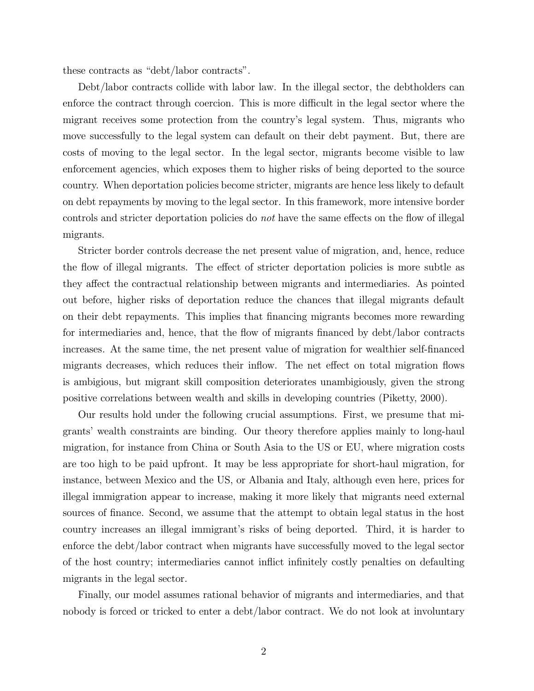these contracts as "debt/labor contracts".

Debt/labor contracts collide with labor law. In the illegal sector, the debtholders can enforce the contract through coercion. This is more difficult in the legal sector where the migrant receives some protection from the country's legal system. Thus, migrants who move successfully to the legal system can default on their debt payment. But, there are costs of moving to the legal sector. In the legal sector, migrants become visible to law enforcement agencies, which exposes them to higher risks of being deported to the source country. When deportation policies become stricter, migrants are hence less likely to default on debt repayments by moving to the legal sector. In this framework, more intensive border controls and stricter deportation policies do not have the same effects on the flow of illegal migrants.

Stricter border controls decrease the net present value of migration, and, hence, reduce the flow of illegal migrants. The effect of stricter deportation policies is more subtle as they affect the contractual relationship between migrants and intermediaries. As pointed out before, higher risks of deportation reduce the chances that illegal migrants default on their debt repayments. This implies that financing migrants becomes more rewarding for intermediaries and, hence, that the flow of migrants financed by debt/labor contracts increases. At the same time, the net present value of migration for wealthier self-financed migrants decreases, which reduces their inflow. The net effect on total migration flows is ambigious, but migrant skill composition deteriorates unambigiously, given the strong positive correlations between wealth and skills in developing countries (Piketty, 2000).

Our results hold under the following crucial assumptions. First, we presume that migrants' wealth constraints are binding. Our theory therefore applies mainly to long-haul migration, for instance from China or South Asia to the US or EU, where migration costs are too high to be paid upfront. It may be less appropriate for short-haul migration, for instance, between Mexico and the US, or Albania and Italy, although even here, prices for illegal immigration appear to increase, making it more likely that migrants need external sources of finance. Second, we assume that the attempt to obtain legal status in the host country increases an illegal immigrant's risks of being deported. Third, it is harder to enforce the debt/labor contract when migrants have successfully moved to the legal sector of the host country; intermediaries cannot inflict infinitely costly penalties on defaulting migrants in the legal sector.

Finally, our model assumes rational behavior of migrants and intermediaries, and that nobody is forced or tricked to enter a debt/labor contract. We do not look at involuntary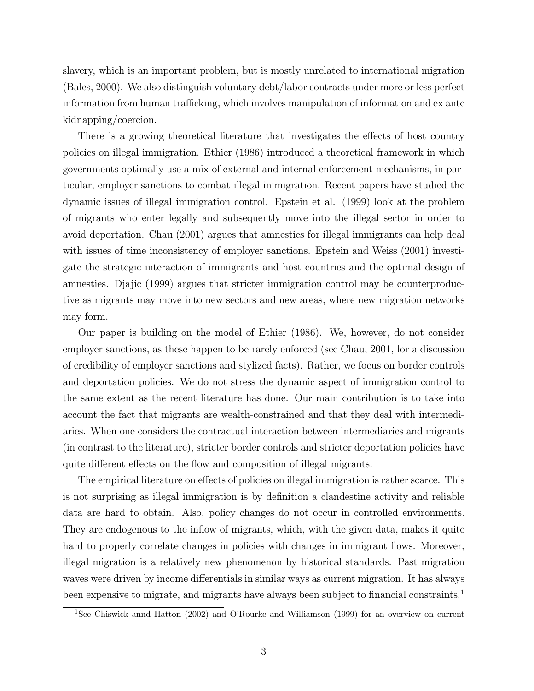slavery, which is an important problem, but is mostly unrelated to international migration (Bales, 2000). We also distinguish voluntary debt/labor contracts under more or less perfect information from human trafficking, which involves manipulation of information and ex ante kidnapping/coercion.

There is a growing theoretical literature that investigates the effects of host country policies on illegal immigration. Ethier (1986) introduced a theoretical framework in which governments optimally use a mix of external and internal enforcement mechanisms, in particular, employer sanctions to combat illegal immigration. Recent papers have studied the dynamic issues of illegal immigration control. Epstein et al. (1999) look at the problem of migrants who enter legally and subsequently move into the illegal sector in order to avoid deportation. Chau (2001) argues that amnesties for illegal immigrants can help deal with issues of time inconsistency of employer sanctions. Epstein and Weiss (2001) investigate the strategic interaction of immigrants and host countries and the optimal design of amnesties. Djajic (1999) argues that stricter immigration control may be counterproductive as migrants may move into new sectors and new areas, where new migration networks may form.

Our paper is building on the model of Ethier (1986). We, however, do not consider employer sanctions, as these happen to be rarely enforced (see Chau, 2001, for a discussion of credibility of employer sanctions and stylized facts). Rather, we focus on border controls and deportation policies. We do not stress the dynamic aspect of immigration control to the same extent as the recent literature has done. Our main contribution is to take into account the fact that migrants are wealth-constrained and that they deal with intermediaries. When one considers the contractual interaction between intermediaries and migrants (in contrast to the literature), stricter border controls and stricter deportation policies have quite different effects on the flow and composition of illegal migrants.

The empirical literature on effects of policies on illegal immigration is rather scarce. This is not surprising as illegal immigration is by definition a clandestine activity and reliable data are hard to obtain. Also, policy changes do not occur in controlled environments. They are endogenous to the inflow of migrants, which, with the given data, makes it quite hard to properly correlate changes in policies with changes in immigrant flows. Moreover, illegal migration is a relatively new phenomenon by historical standards. Past migration waves were driven by income differentials in similar ways as current migration. It has always been expensive to migrate, and migrants have always been subject to financial constraints.<sup>1</sup>

<sup>&</sup>lt;sup>1</sup>See Chiswick annd Hatton (2002) and O'Rourke and Williamson (1999) for an overview on current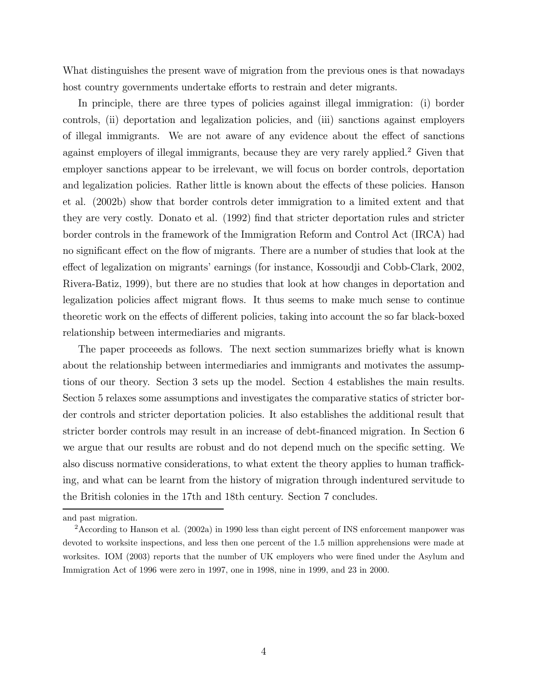What distinguishes the present wave of migration from the previous ones is that nowadays host country governments undertake efforts to restrain and deter migrants.

In principle, there are three types of policies against illegal immigration: (i) border controls, (ii) deportation and legalization policies, and (iii) sanctions against employers of illegal immigrants. We are not aware of any evidence about the effect of sanctions against employers of illegal immigrants, because they are very rarely applied.<sup>2</sup> Given that employer sanctions appear to be irrelevant, we will focus on border controls, deportation and legalization policies. Rather little is known about the effects of these policies. Hanson et al. (2002b) show that border controls deter immigration to a limited extent and that they are very costly. Donato et al. (1992) find that stricter deportation rules and stricter border controls in the framework of the Immigration Reform and Control Act (IRCA) had no significant effect on the flow of migrants. There are a number of studies that look at the effect of legalization on migrants' earnings (for instance, Kossoudji and Cobb-Clark, 2002, Rivera-Batiz, 1999), but there are no studies that look at how changes in deportation and legalization policies affect migrant flows. It thus seems to make much sense to continue theoretic work on the effects of different policies, taking into account the so far black-boxed relationship between intermediaries and migrants.

The paper proceeeds as follows. The next section summarizes briefly what is known about the relationship between intermediaries and immigrants and motivates the assumptions of our theory. Section 3 sets up the model. Section 4 establishes the main results. Section 5 relaxes some assumptions and investigates the comparative statics of stricter border controls and stricter deportation policies. It also establishes the additional result that stricter border controls may result in an increase of debt-financed migration. In Section 6 we argue that our results are robust and do not depend much on the specific setting. We also discuss normative considerations, to what extent the theory applies to human trafficking, and what can be learnt from the history of migration through indentured servitude to the British colonies in the 17th and 18th century. Section 7 concludes.

and past migration.

<sup>2</sup>According to Hanson et al. (2002a) in 1990 less than eight percent of INS enforcement manpower was devoted to worksite inspections, and less then one percent of the 1.5 million apprehensions were made at worksites. IOM (2003) reports that the number of UK employers who were fined under the Asylum and Immigration Act of 1996 were zero in 1997, one in 1998, nine in 1999, and 23 in 2000.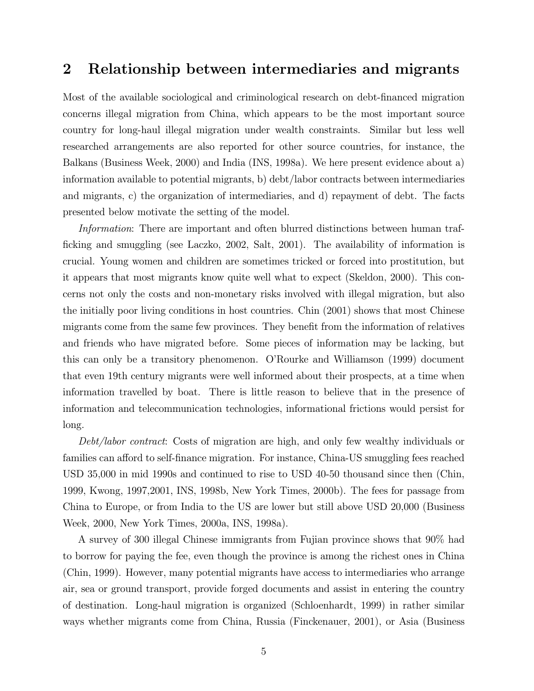#### 2 Relationship between intermediaries and migrants

Most of the available sociological and criminological research on debt-financed migration concerns illegal migration from China, which appears to be the most important source country for long-haul illegal migration under wealth constraints. Similar but less well researched arrangements are also reported for other source countries, for instance, the Balkans (Business Week, 2000) and India (INS, 1998a). We here present evidence about a) information available to potential migrants, b) debt/labor contracts between intermediaries and migrants, c) the organization of intermediaries, and d) repayment of debt. The facts presented below motivate the setting of the model.

Information: There are important and often blurred distinctions between human trafficking and smuggling (see Laczko, 2002, Salt, 2001). The availability of information is crucial. Young women and children are sometimes tricked or forced into prostitution, but it appears that most migrants know quite well what to expect (Skeldon, 2000). This concerns not only the costs and non-monetary risks involved with illegal migration, but also the initially poor living conditions in host countries. Chin (2001) shows that most Chinese migrants come from the same few provinces. They benefit from the information of relatives and friends who have migrated before. Some pieces of information may be lacking, but this can only be a transitory phenomenon. O'Rourke and Williamson (1999) document that even 19th century migrants were well informed about their prospects, at a time when information travelled by boat. There is little reason to believe that in the presence of information and telecommunication technologies, informational frictions would persist for long.

Debt/labor contract: Costs of migration are high, and only few wealthy individuals or families can afford to self-finance migration. For instance, China-US smuggling fees reached USD 35,000 in mid 1990s and continued to rise to USD 40-50 thousand since then (Chin, 1999, Kwong, 1997,2001, INS, 1998b, New York Times, 2000b). The fees for passage from China to Europe, or from India to the US are lower but still above USD 20,000 (Business Week, 2000, New York Times, 2000a, INS, 1998a).

A survey of 300 illegal Chinese immigrants from Fujian province shows that 90% had to borrow for paying the fee, even though the province is among the richest ones in China (Chin, 1999). However, many potential migrants have access to intermediaries who arrange air, sea or ground transport, provide forged documents and assist in entering the country of destination. Long-haul migration is organized (Schloenhardt, 1999) in rather similar ways whether migrants come from China, Russia (Finckenauer, 2001), or Asia (Business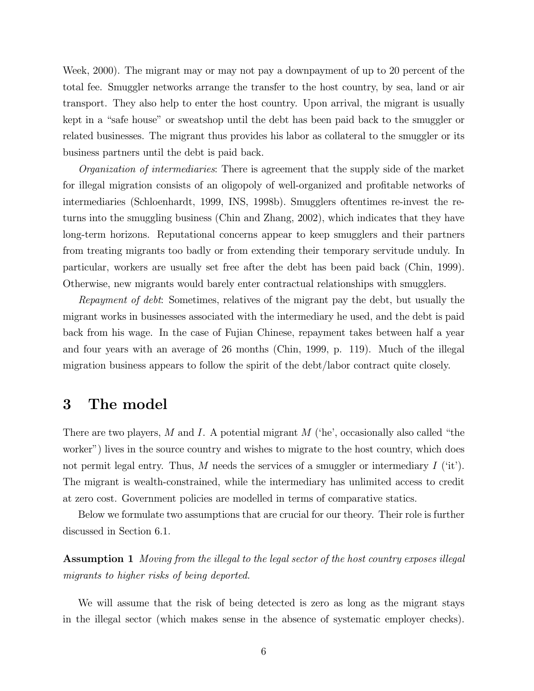Week, 2000). The migrant may or may not pay a downpayment of up to 20 percent of the total fee. Smuggler networks arrange the transfer to the host country, by sea, land or air transport. They also help to enter the host country. Upon arrival, the migrant is usually kept in a "safe house" or sweatshop until the debt has been paid back to the smuggler or related businesses. The migrant thus provides his labor as collateral to the smuggler or its business partners until the debt is paid back.

Organization of intermediaries: There is agreement that the supply side of the market for illegal migration consists of an oligopoly of well-organized and profitable networks of intermediaries (Schloenhardt, 1999, INS, 1998b). Smugglers oftentimes re-invest the returns into the smuggling business (Chin and Zhang, 2002), which indicates that they have long-term horizons. Reputational concerns appear to keep smugglers and their partners from treating migrants too badly or from extending their temporary servitude unduly. In particular, workers are usually set free after the debt has been paid back (Chin, 1999). Otherwise, new migrants would barely enter contractual relationships with smugglers.

Repayment of debt: Sometimes, relatives of the migrant pay the debt, but usually the migrant works in businesses associated with the intermediary he used, and the debt is paid back from his wage. In the case of Fujian Chinese, repayment takes between half a year and four years with an average of 26 months (Chin, 1999, p. 119). Much of the illegal migration business appears to follow the spirit of the debt/labor contract quite closely.

#### 3 The model

There are two players, M and I. A potential migrant  $M$  ('he', occasionally also called "the worker") lives in the source country and wishes to migrate to the host country, which does not permit legal entry. Thus, M needs the services of a smuggler or intermediary  $I(\text{`it').}$ The migrant is wealth-constrained, while the intermediary has unlimited access to credit at zero cost. Government policies are modelled in terms of comparative statics.

Below we formulate two assumptions that are crucial for our theory. Their role is further discussed in Section 6.1.

Assumption 1 Moving from the illegal to the legal sector of the host country exposes illegal migrants to higher risks of being deported.

We will assume that the risk of being detected is zero as long as the migrant stays in the illegal sector (which makes sense in the absence of systematic employer checks).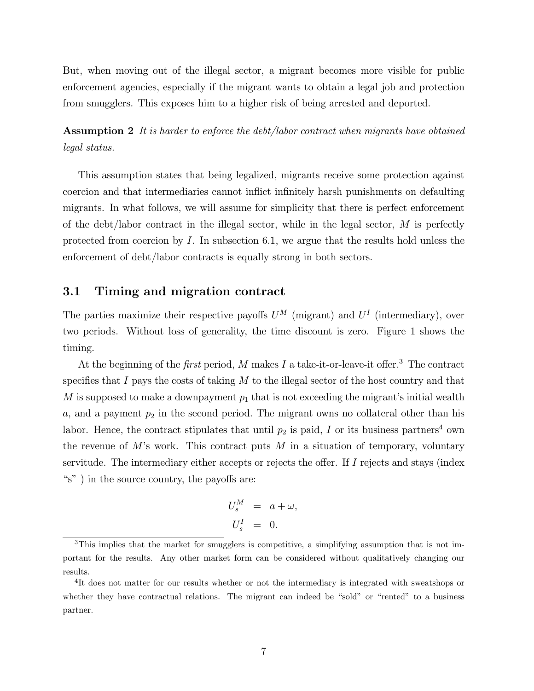But, when moving out of the illegal sector, a migrant becomes more visible for public enforcement agencies, especially if the migrant wants to obtain a legal job and protection from smugglers. This exposes him to a higher risk of being arrested and deported.

Assumption 2 It is harder to enforce the debt/labor contract when migrants have obtained legal status.

This assumption states that being legalized, migrants receive some protection against coercion and that intermediaries cannot inflict infinitely harsh punishments on defaulting migrants. In what follows, we will assume for simplicity that there is perfect enforcement of the debt/labor contract in the illegal sector, while in the legal sector,  $M$  is perfectly protected from coercion by  $I$ . In subsection 6.1, we argue that the results hold unless the enforcement of debt/labor contracts is equally strong in both sectors.

#### 3.1 Timing and migration contract

The parties maximize their respective payoffs  $U^M$  (migrant) and  $U^I$  (intermediary), over two periods. Without loss of generality, the time discount is zero. Figure 1 shows the timing.

At the beginning of the *first* period,  $M$  makes  $I$  a take-it-or-leave-it offer.<sup>3</sup> The contract specifies that I pays the costs of taking  $M$  to the illegal sector of the host country and that M is supposed to make a downpayment  $p_1$  that is not exceeding the migrant's initial wealth  $a$ , and a payment  $p_2$  in the second period. The migrant owns no collateral other than his labor. Hence, the contract stipulates that until  $p_2$  is paid, I or its business partners<sup>4</sup> own the revenue of  $M$ 's work. This contract puts  $M$  in a situation of temporary, voluntary servitude. The intermediary either accepts or rejects the offer. If I rejects and stays (index "s" ) in the source country, the payoffs are:

$$
U_s^M = a + \omega,
$$
  

$$
U_s^I = 0.
$$

<sup>3</sup>This implies that the market for smugglers is competitive, a simplifying assumption that is not important for the results. Any other market form can be considered without qualitatively changing our results.

<sup>&</sup>lt;sup>4</sup>It does not matter for our results whether or not the intermediary is integrated with sweatshops or whether they have contractual relations. The migrant can indeed be "sold" or "rented" to a business partner.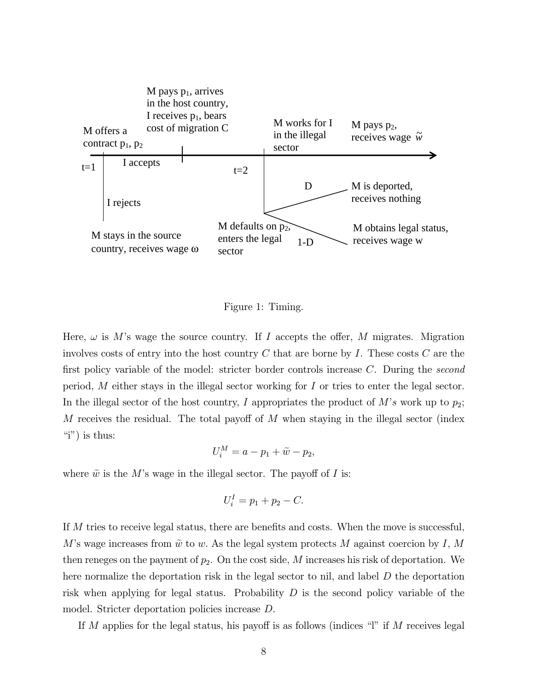

Figure 1: Timing.

Here,  $\omega$  is M's wage the source country. If I accepts the offer, M migrates. Migration involves costs of entry into the host country  $C$  that are borne by  $I$ . These costs  $C$  are the first policy variable of the model: stricter border controls increase C. During the second period, M either stays in the illegal sector working for I or tries to enter the legal sector. In the illegal sector of the host country, I appropriates the product of  $M$ 's work up to  $p_2$ ; M receives the residual. The total payoff of  $M$  when staying in the illegal sector (index "i") is thus:

$$
U_i^M = a - p_1 + \widetilde{w} - p_2,
$$

where  $\tilde{w}$  is the M's wage in the illegal sector. The payoff of I is:

$$
U_i^I = p_1 + p_2 - C.
$$

If M tries to receive legal status, there are benefits and costs. When the move is successful, M's wage increases from  $\tilde{w}$  to w. As the legal system protects M against coercion by I, M then reneges on the payment of  $p_2$ . On the cost side, M increases his risk of deportation. We here normalize the deportation risk in the legal sector to nil, and label D the deportation risk when applying for legal status. Probability  $D$  is the second policy variable of the model. Stricter deportation policies increase D.

If M applies for the legal status, his payoff is as follows (indices "l" if M receives legal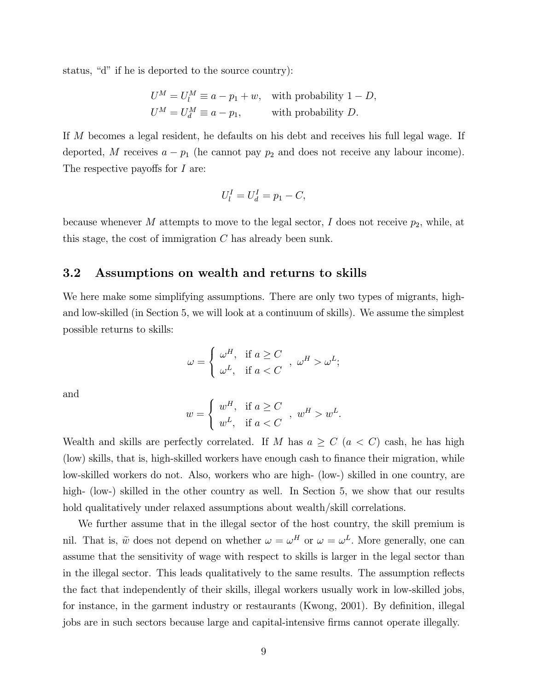status, "d" if he is deported to the source country):

$$
U^M = U_l^M \equiv a - p_1 + w,
$$
 with probability  $1 - D$ ,  

$$
U^M = U_d^M \equiv a - p_1,
$$
 with probability D.

If M becomes a legal resident, he defaults on his debt and receives his full legal wage. If deported, M receives  $a - p_1$  (he cannot pay  $p_2$  and does not receive any labour income). The respective payoffs for I are:

$$
U_l^I = U_d^I = p_1 - C,
$$

because whenever  $M$  attempts to move to the legal sector,  $I$  does not receive  $p_2$ , while, at this stage, the cost of immigration C has already been sunk.

#### 3.2 Assumptions on wealth and returns to skills

We here make some simplifying assumptions. There are only two types of migrants, highand low-skilled (in Section 5, we will look at a continuum of skills). We assume the simplest possible returns to skills:

$$
\omega = \begin{cases} \omega^H, & \text{if } a \ge C \\ \omega^L, & \text{if } a < C \end{cases}, \omega^H > \omega^L;
$$

and

$$
w = \begin{cases} w^H, & \text{if } a \ge C \\ w^L, & \text{if } a < C \end{cases}, w^H > w^L.
$$

Wealth and skills are perfectly correlated. If M has  $a \geq C$   $(a < C)$  cash, he has high (low) skills, that is, high-skilled workers have enough cash to finance their migration, while low-skilled workers do not. Also, workers who are high- (low-) skilled in one country, are high- (low-) skilled in the other country as well. In Section 5, we show that our results hold qualitatively under relaxed assumptions about wealth/skill correlations.

We further assume that in the illegal sector of the host country, the skill premium is nil. That is,  $\tilde{w}$  does not depend on whether  $\omega = \omega^H$  or  $\omega = \omega^L$ . More generally, one can assume that the sensitivity of wage with respect to skills is larger in the legal sector than in the illegal sector. This leads qualitatively to the same results. The assumption reflects the fact that independently of their skills, illegal workers usually work in low-skilled jobs, for instance, in the garment industry or restaurants (Kwong, 2001). By definition, illegal jobs are in such sectors because large and capital-intensive firms cannot operate illegally.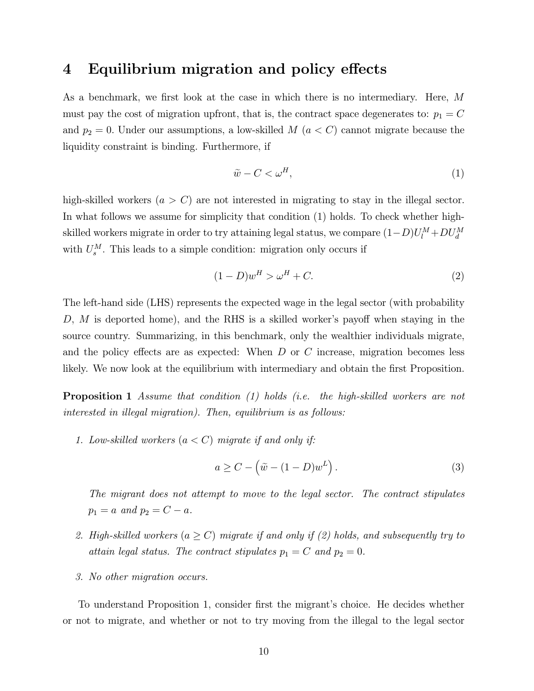### 4 Equilibrium migration and policy effects

As a benchmark, we first look at the case in which there is no intermediary. Here, M must pay the cost of migration upfront, that is, the contract space degenerates to:  $p_1 = C$ and  $p_2 = 0$ . Under our assumptions, a low-skilled M  $(a < C)$  cannot migrate because the liquidity constraint is binding. Furthermore, if

$$
\tilde{w} - C < \omega^H,\tag{1}
$$

high-skilled workers  $(a > C)$  are not interested in migrating to stay in the illegal sector. In what follows we assume for simplicity that condition (1) holds. To check whether highskilled workers migrate in order to try attaining legal status, we compare  $(1-D)U_l^M+DU_d^M$ with  $U_s^M$ . This leads to a simple condition: migration only occurs if

$$
(1 - D)wH > \omegaH + C.
$$
 (2)

The left-hand side (LHS) represents the expected wage in the legal sector (with probability D,  $M$  is deported home), and the RHS is a skilled worker's payoff when staying in the source country. Summarizing, in this benchmark, only the wealthier individuals migrate, and the policy effects are as expected: When  $D$  or  $C$  increase, migration becomes less likely. We now look at the equilibrium with intermediary and obtain the first Proposition.

**Proposition 1** Assume that condition (1) holds (i.e. the high-skilled workers are not interested in illegal migration). Then, equilibrium is as follows:

1. Low-skilled workers  $(a < C)$  migrate if and only if:

$$
a \ge C - (\tilde{w} - (1 - D)w^{L}).
$$
\n(3)

The migrant does not attempt to move to the legal sector. The contract stipulates  $p_1 = a \text{ and } p_2 = C - a.$ 

- 2. High-skilled workers ( $a \ge C$ ) migrate if and only if (2) holds, and subsequently try to attain legal status. The contract stipulates  $p_1 = C$  and  $p_2 = 0$ .
- 3. No other migration occurs.

To understand Proposition 1, consider first the migrant's choice. He decides whether or not to migrate, and whether or not to try moving from the illegal to the legal sector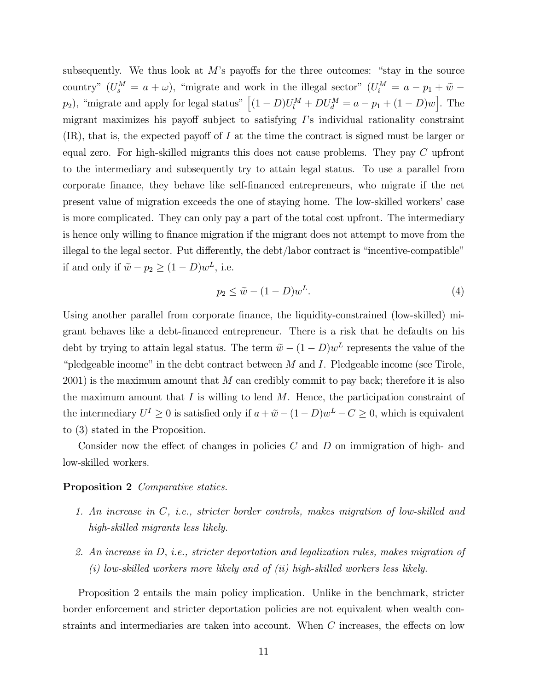subsequently. We thus look at  $M$ 's payoffs for the three outcomes: "stay in the source country"  $(U_s^M = a + \omega)$ , "migrate and work in the illegal sector"  $(U_i^M = a - p_1 + \tilde{w}$  $p_2$ ), "migrate and apply for legal status"  $[(1-D)U_l^M + DU_d^M = a - p_1 + (1-D)w]$ . The migrant maximizes his payoff subject to satisfying I's individual rationality constraint  $(IR)$ , that is, the expected payoff of I at the time the contract is signed must be larger or equal zero. For high-skilled migrants this does not cause problems. They pay C upfront to the intermediary and subsequently try to attain legal status. To use a parallel from corporate finance, they behave like self-financed entrepreneurs, who migrate if the net present value of migration exceeds the one of staying home. The low-skilled workers' case is more complicated. They can only pay a part of the total cost upfront. The intermediary is hence only willing to finance migration if the migrant does not attempt to move from the illegal to the legal sector. Put differently, the debt/labor contract is "incentive-compatible" if and only if  $\tilde{w} - p_2 \ge (1 - D)w^L$ , i.e.

$$
p_2 \le \tilde{w} - (1 - D)w^L. \tag{4}
$$

Using another parallel from corporate finance, the liquidity-constrained (low-skilled) migrant behaves like a debt-financed entrepreneur. There is a risk that he defaults on his debt by trying to attain legal status. The term  $\tilde{w} - (1 - D)w^L$  represents the value of the "pledgeable income" in the debt contract between  $M$  and  $I$ . Pledgeable income (see Tirole,  $2001$ ) is the maximum amount that M can credibly commit to pay back; therefore it is also the maximum amount that  $I$  is willing to lend  $M$ . Hence, the participation constraint of the intermediary  $U^I \geq 0$  is satisfied only if  $a + \tilde{w} - (1 - D)w^L - C \geq 0$ , which is equivalent to (3) stated in the Proposition.

Consider now the effect of changes in policies  $C$  and  $D$  on immigration of high- and low-skilled workers.

#### Proposition 2 Comparative statics.

- 1. An increase in C, i.e., stricter border controls, makes migration of low-skilled and high-skilled migrants less likely.
- 2. An increase in D, i.e., stricter deportation and legalization rules, makes migration of (i) low-skilled workers more likely and of (ii) high-skilled workers less likely.

Proposition 2 entails the main policy implication. Unlike in the benchmark, stricter border enforcement and stricter deportation policies are not equivalent when wealth constraints and intermediaries are taken into account. When C increases, the effects on low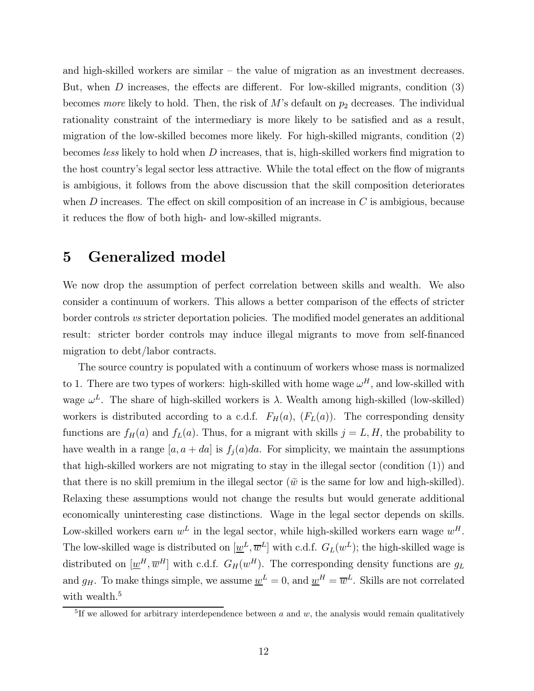and high-skilled workers are similar — the value of migration as an investment decreases. But, when D increases, the effects are different. For low-skilled migrants, condition (3) becomes more likely to hold. Then, the risk of  $M$ 's default on  $p_2$  decreases. The individual rationality constraint of the intermediary is more likely to be satisfied and as a result, migration of the low-skilled becomes more likely. For high-skilled migrants, condition (2) becomes less likely to hold when D increases, that is, high-skilled workers find migration to the host country's legal sector less attractive. While the total effect on the flow of migrants is ambigious, it follows from the above discussion that the skill composition deteriorates when  $D$  increases. The effect on skill composition of an increase in  $C$  is ambigious, because it reduces the flow of both high- and low-skilled migrants.

### 5 Generalized model

We now drop the assumption of perfect correlation between skills and wealth. We also consider a continuum of workers. This allows a better comparison of the effects of stricter border controls vs stricter deportation policies. The modified model generates an additional result: stricter border controls may induce illegal migrants to move from self-financed migration to debt/labor contracts.

The source country is populated with a continuum of workers whose mass is normalized to 1. There are two types of workers: high-skilled with home wage  $\omega^H$ , and low-skilled with wage  $\omega^L$ . The share of high-skilled workers is  $\lambda$ . Wealth among high-skilled (low-skilled) workers is distributed according to a c.d.f.  $F_H(a)$ ,  $(F_L(a))$ . The corresponding density functions are  $f_H(a)$  and  $f_L(a)$ . Thus, for a migrant with skills  $j = L, H$ , the probability to have wealth in a range  $[a, a + da]$  is  $f_i(a)da$ . For simplicity, we maintain the assumptions that high-skilled workers are not migrating to stay in the illegal sector (condition (1)) and that there is no skill premium in the illegal sector ( $\tilde{w}$  is the same for low and high-skilled). Relaxing these assumptions would not change the results but would generate additional economically uninteresting case distinctions. Wage in the legal sector depends on skills. Low-skilled workers earn  $w^L$  in the legal sector, while high-skilled workers earn wage  $w^H$ . The low-skilled wage is distributed on  $[\underline{w}^L, \overline{w}^L]$  with c.d.f.  $G_L(w^L)$ ; the high-skilled wage is distributed on  $[\underline{w}^H, \overline{w}^H]$  with c.d.f.  $G_H(w^H)$ . The corresponding density functions are  $g_L$ and  $g_H$ . To make things simple, we assume  $\underline{w}^L = 0$ , and  $\underline{w}^H = \overline{w}^L$ . Skills are not correlated with wealth.<sup>5</sup>

<sup>&</sup>lt;sup>5</sup>If we allowed for arbitrary interdependence between  $a$  and  $w$ , the analysis would remain qualitatively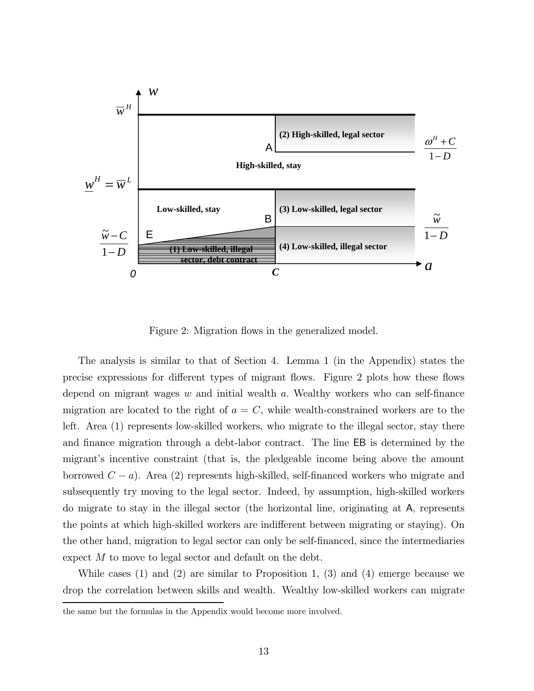

Figure 2: Migration flows in the generalized model.

The analysis is similar to that of Section 4. Lemma 1 (in the Appendix) states the precise expressions for different types of migrant flows. Figure 2 plots how these flows depend on migrant wages  $w$  and initial wealth  $a$ . Wealthy workers who can self-finance migration are located to the right of  $a = C$ , while wealth-constrained workers are to the left. Area (1) represents low-skilled workers, who migrate to the illegal sector, stay there and finance migration through a debt-labor contract. The line EB is determined by the migrant's incentive constraint (that is, the pledgeable income being above the amount borrowed  $C - a$ ). Area (2) represents high-skilled, self-financed workers who migrate and subsequently try moving to the legal sector. Indeed, by assumption, high-skilled workers do migrate to stay in the illegal sector (the horizontal line, originating at A, represents the points at which high-skilled workers are indifferent between migrating or staying). On the other hand, migration to legal sector can only be self-financed, since the intermediaries expect M to move to legal sector and default on the debt.

While cases (1) and (2) are similar to Proposition 1, (3) and (4) emerge because we drop the correlation between skills and wealth. Wealthy low-skilled workers can migrate

the same but the formulas in the Appendix would become more involved.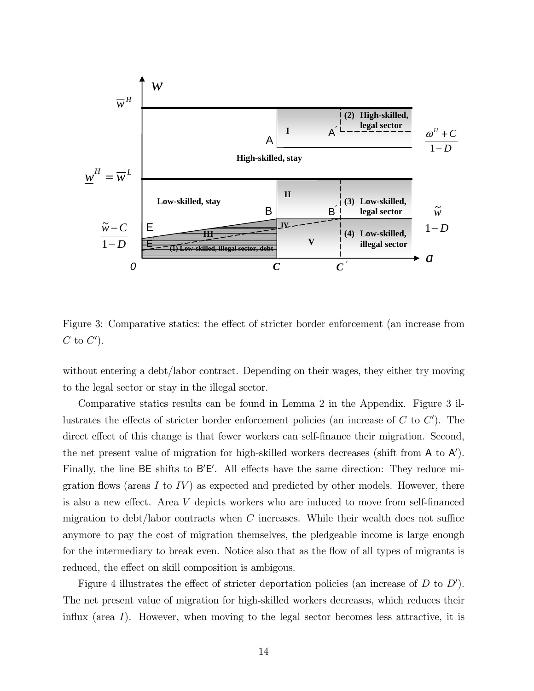

Figure 3: Comparative statics: the effect of stricter border enforcement (an increase from  $C$  to  $C'$ ).

without entering a debt/labor contract. Depending on their wages, they either try moving to the legal sector or stay in the illegal sector.

Comparative statics results can be found in Lemma 2 in the Appendix. Figure 3 illustrates the effects of stricter border enforcement policies (an increase of  $C$  to  $C'$ ). The direct effect of this change is that fewer workers can self-finance their migration. Second, the net present value of migration for high-skilled workers decreases (shift from  $A$  to  $A'$ ). Finally, the line  $BE$  shifts to  $B'E'$ . All effects have the same direction: They reduce migration flows (areas I to  $IV$ ) as expected and predicted by other models. However, there is also a new effect. Area V depicts workers who are induced to move from self-financed migration to debt/labor contracts when  $C$  increases. While their wealth does not suffice anymore to pay the cost of migration themselves, the pledgeable income is large enough for the intermediary to break even. Notice also that as the flow of all types of migrants is reduced, the effect on skill composition is ambigous.

Figure 4 illustrates the effect of stricter deportation policies (an increase of  $D$  to  $D'$ ). The net present value of migration for high-skilled workers decreases, which reduces their influx (area I). However, when moving to the legal sector becomes less attractive, it is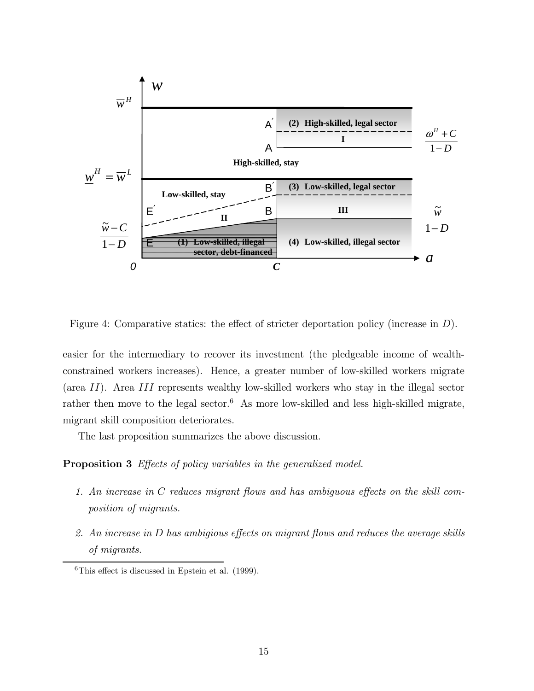

Figure 4: Comparative statics: the effect of stricter deportation policy (increase in D).

easier for the intermediary to recover its investment (the pledgeable income of wealthconstrained workers increases). Hence, a greater number of low-skilled workers migrate (area II). Area III represents wealthy low-skilled workers who stay in the illegal sector rather then move to the legal sector.<sup>6</sup> As more low-skilled and less high-skilled migrate, migrant skill composition deteriorates.

The last proposition summarizes the above discussion.

Proposition 3 Effects of policy variables in the generalized model.

- 1. An increase in C reduces migrant flows and has ambiguous effects on the skill composition of migrants.
- 2. An increase in D has ambigious effects on migrant flows and reduces the average skills of migrants.

 ${}^{6}$ This effect is discussed in Epstein et al. (1999).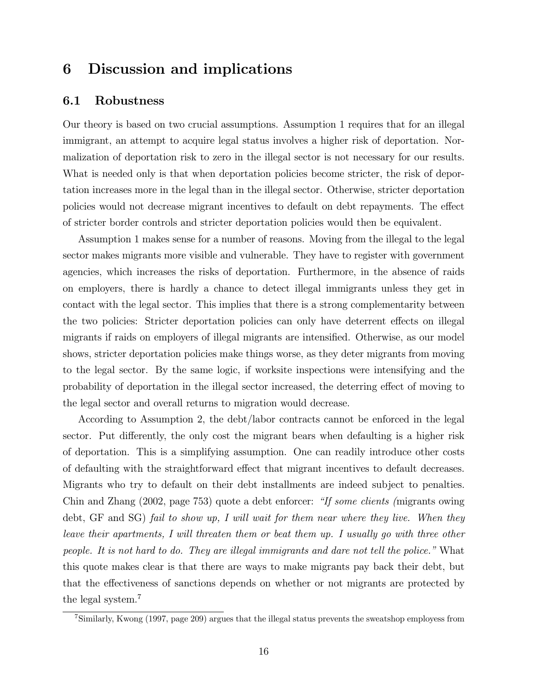# 6 Discussion and implications

#### 6.1 Robustness

Our theory is based on two crucial assumptions. Assumption 1 requires that for an illegal immigrant, an attempt to acquire legal status involves a higher risk of deportation. Normalization of deportation risk to zero in the illegal sector is not necessary for our results. What is needed only is that when deportation policies become stricter, the risk of deportation increases more in the legal than in the illegal sector. Otherwise, stricter deportation policies would not decrease migrant incentives to default on debt repayments. The effect of stricter border controls and stricter deportation policies would then be equivalent.

Assumption 1 makes sense for a number of reasons. Moving from the illegal to the legal sector makes migrants more visible and vulnerable. They have to register with government agencies, which increases the risks of deportation. Furthermore, in the absence of raids on employers, there is hardly a chance to detect illegal immigrants unless they get in contact with the legal sector. This implies that there is a strong complementarity between the two policies: Stricter deportation policies can only have deterrent effects on illegal migrants if raids on employers of illegal migrants are intensified. Otherwise, as our model shows, stricter deportation policies make things worse, as they deter migrants from moving to the legal sector. By the same logic, if worksite inspections were intensifying and the probability of deportation in the illegal sector increased, the deterring effect of moving to the legal sector and overall returns to migration would decrease.

According to Assumption 2, the debt/labor contracts cannot be enforced in the legal sector. Put differently, the only cost the migrant bears when defaulting is a higher risk of deportation. This is a simplifying assumption. One can readily introduce other costs of defaulting with the straightforward effect that migrant incentives to default decreases. Migrants who try to default on their debt installments are indeed subject to penalties. Chin and Zhang (2002, page 753) quote a debt enforcer: "If some clients (migrants owing debt, GF and SG) fail to show up, I will wait for them near where they live. When they leave their apartments, I will threaten them or beat them up. I usually go with three other people. It is not hard to do. They are illegal immigrants and dare not tell the police." What this quote makes clear is that there are ways to make migrants pay back their debt, but that the effectiveness of sanctions depends on whether or not migrants are protected by the legal system.<sup>7</sup>

<sup>7</sup>Similarly, Kwong (1997, page 209) argues that the illegal status prevents the sweatshop employess from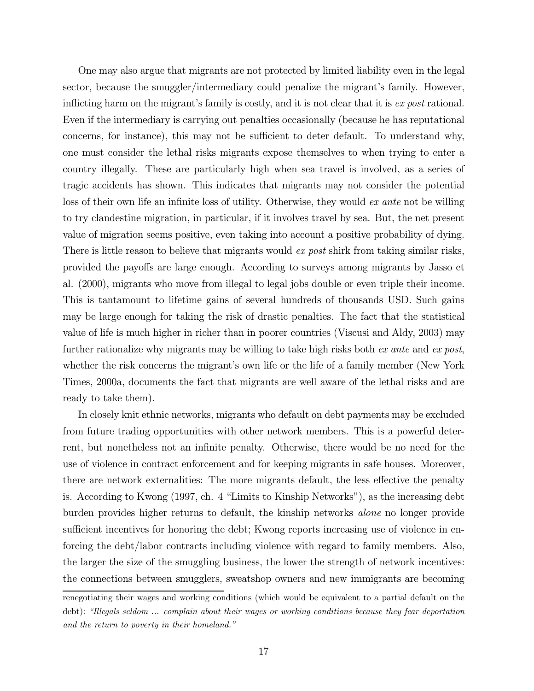One may also argue that migrants are not protected by limited liability even in the legal sector, because the smuggler/intermediary could penalize the migrant's family. However, inflicting harm on the migrant's family is costly, and it is not clear that it is ex post rational. Even if the intermediary is carrying out penalties occasionally (because he has reputational concerns, for instance), this may not be sufficient to deter default. To understand why, one must consider the lethal risks migrants expose themselves to when trying to enter a country illegally. These are particularly high when sea travel is involved, as a series of tragic accidents has shown. This indicates that migrants may not consider the potential loss of their own life an infinite loss of utility. Otherwise, they would ex ante not be willing to try clandestine migration, in particular, if it involves travel by sea. But, the net present value of migration seems positive, even taking into account a positive probability of dying. There is little reason to believe that migrants would ex post shirk from taking similar risks, provided the payoffs are large enough. According to surveys among migrants by Jasso et al. (2000), migrants who move from illegal to legal jobs double or even triple their income. This is tantamount to lifetime gains of several hundreds of thousands USD. Such gains may be large enough for taking the risk of drastic penalties. The fact that the statistical value of life is much higher in richer than in poorer countries (Viscusi and Aldy, 2003) may further rationalize why migrants may be willing to take high risks both ex ante and ex post, whether the risk concerns the migrant's own life or the life of a family member (New York Times, 2000a, documents the fact that migrants are well aware of the lethal risks and are ready to take them).

In closely knit ethnic networks, migrants who default on debt payments may be excluded from future trading opportunities with other network members. This is a powerful deterrent, but nonetheless not an infinite penalty. Otherwise, there would be no need for the use of violence in contract enforcement and for keeping migrants in safe houses. Moreover, there are network externalities: The more migrants default, the less effective the penalty is. According to Kwong (1997, ch. 4 "Limits to Kinship Networks"), as the increasing debt burden provides higher returns to default, the kinship networks alone no longer provide sufficient incentives for honoring the debt; Kwong reports increasing use of violence in enforcing the debt/labor contracts including violence with regard to family members. Also, the larger the size of the smuggling business, the lower the strength of network incentives: the connections between smugglers, sweatshop owners and new immigrants are becoming

renegotiating their wages and working conditions (which would be equivalent to a partial default on the debt): "Illegals seldom ... complain about their wages or working conditions because they fear deportation and the return to poverty in their homeland."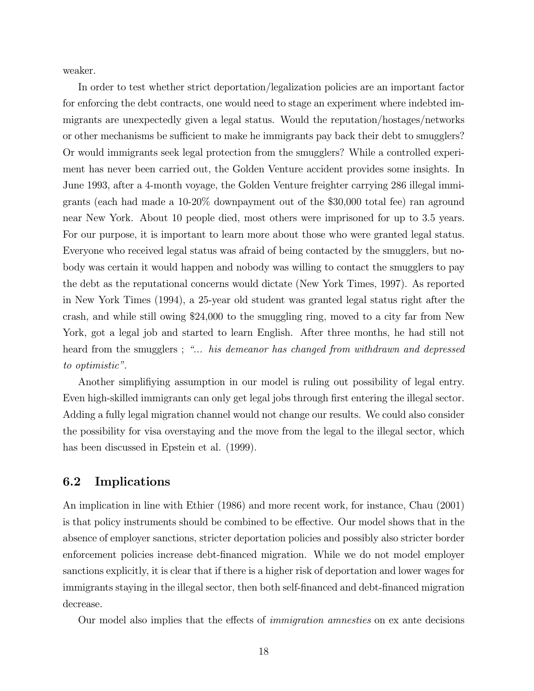weaker.

In order to test whether strict deportation/legalization policies are an important factor for enforcing the debt contracts, one would need to stage an experiment where indebted immigrants are unexpectedly given a legal status. Would the reputation/hostages/networks or other mechanisms be sufficient to make he immigrants pay back their debt to smugglers? Or would immigrants seek legal protection from the smugglers? While a controlled experiment has never been carried out, the Golden Venture accident provides some insights. In June 1993, after a 4-month voyage, the Golden Venture freighter carrying 286 illegal immigrants (each had made a 10-20% downpayment out of the \$30,000 total fee) ran aground near New York. About 10 people died, most others were imprisoned for up to 3.5 years. For our purpose, it is important to learn more about those who were granted legal status. Everyone who received legal status was afraid of being contacted by the smugglers, but nobody was certain it would happen and nobody was willing to contact the smugglers to pay the debt as the reputational concerns would dictate (New York Times, 1997). As reported in New York Times (1994), a 25-year old student was granted legal status right after the crash, and while still owing \$24,000 to the smuggling ring, moved to a city far from New York, got a legal job and started to learn English. After three months, he had still not heard from the smugglers; "... his demeanor has changed from withdrawn and depressed to optimistic".

Another simplifiying assumption in our model is ruling out possibility of legal entry. Even high-skilled immigrants can only get legal jobs through first entering the illegal sector. Adding a fully legal migration channel would not change our results. We could also consider the possibility for visa overstaying and the move from the legal to the illegal sector, which has been discussed in Epstein et al. (1999).

#### 6.2 Implications

An implication in line with Ethier (1986) and more recent work, for instance, Chau (2001) is that policy instruments should be combined to be effective. Our model shows that in the absence of employer sanctions, stricter deportation policies and possibly also stricter border enforcement policies increase debt-financed migration. While we do not model employer sanctions explicitly, it is clear that if there is a higher risk of deportation and lower wages for immigrants staying in the illegal sector, then both self-financed and debt-financed migration decrease.

Our model also implies that the effects of immigration amnesties on ex ante decisions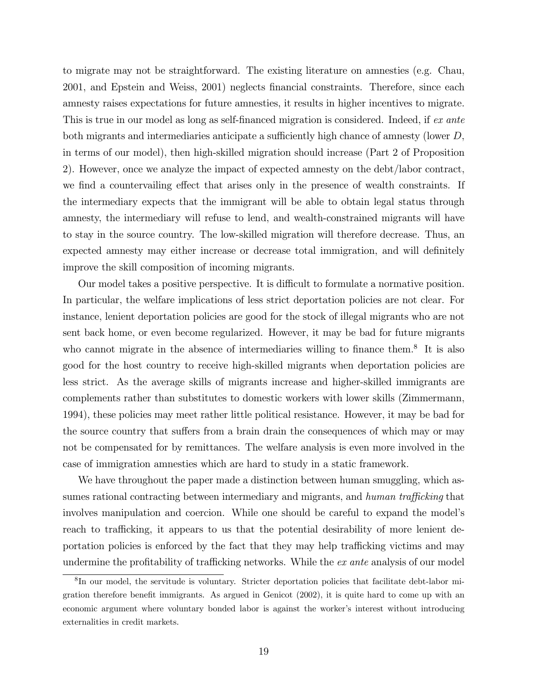to migrate may not be straightforward. The existing literature on amnesties (e.g. Chau, 2001, and Epstein and Weiss, 2001) neglects financial constraints. Therefore, since each amnesty raises expectations for future amnesties, it results in higher incentives to migrate. This is true in our model as long as self-financed migration is considered. Indeed, if ex ante both migrants and intermediaries anticipate a sufficiently high chance of amnesty (lower D, in terms of our model), then high-skilled migration should increase (Part 2 of Proposition 2). However, once we analyze the impact of expected amnesty on the debt/labor contract, we find a countervailing effect that arises only in the presence of wealth constraints. If the intermediary expects that the immigrant will be able to obtain legal status through amnesty, the intermediary will refuse to lend, and wealth-constrained migrants will have to stay in the source country. The low-skilled migration will therefore decrease. Thus, an expected amnesty may either increase or decrease total immigration, and will definitely improve the skill composition of incoming migrants.

Our model takes a positive perspective. It is difficult to formulate a normative position. In particular, the welfare implications of less strict deportation policies are not clear. For instance, lenient deportation policies are good for the stock of illegal migrants who are not sent back home, or even become regularized. However, it may be bad for future migrants who cannot migrate in the absence of intermediaries willing to finance them.<sup>8</sup> It is also good for the host country to receive high-skilled migrants when deportation policies are less strict. As the average skills of migrants increase and higher-skilled immigrants are complements rather than substitutes to domestic workers with lower skills (Zimmermann, 1994), these policies may meet rather little political resistance. However, it may be bad for the source country that suffers from a brain drain the consequences of which may or may not be compensated for by remittances. The welfare analysis is even more involved in the case of immigration amnesties which are hard to study in a static framework.

We have throughout the paper made a distinction between human smuggling, which assumes rational contracting between intermediary and migrants, and human trafficking that involves manipulation and coercion. While one should be careful to expand the model's reach to trafficking, it appears to us that the potential desirability of more lenient deportation policies is enforced by the fact that they may help trafficking victims and may undermine the profitability of trafficking networks. While the ex ante analysis of our model

<sup>8</sup>In our model, the servitude is voluntary. Stricter deportation policies that facilitate debt-labor migration therefore benefit immigrants. As argued in Genicot (2002), it is quite hard to come up with an economic argument where voluntary bonded labor is against the worker's interest without introducing externalities in credit markets.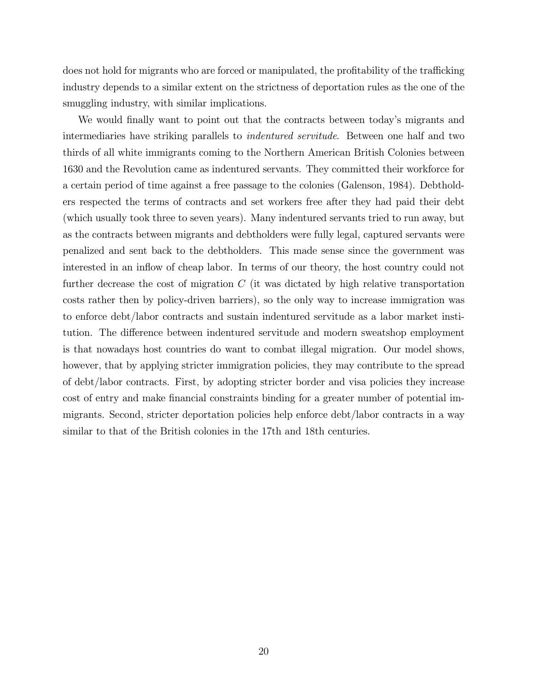does not hold for migrants who are forced or manipulated, the profitability of the trafficking industry depends to a similar extent on the strictness of deportation rules as the one of the smuggling industry, with similar implications.

We would finally want to point out that the contracts between today's migrants and intermediaries have striking parallels to indentured servitude. Between one half and two thirds of all white immigrants coming to the Northern American British Colonies between 1630 and the Revolution came as indentured servants. They committed their workforce for a certain period of time against a free passage to the colonies (Galenson, 1984). Debtholders respected the terms of contracts and set workers free after they had paid their debt (which usually took three to seven years). Many indentured servants tried to run away, but as the contracts between migrants and debtholders were fully legal, captured servants were penalized and sent back to the debtholders. This made sense since the government was interested in an inflow of cheap labor. In terms of our theory, the host country could not further decrease the cost of migration  $C$  (it was dictated by high relative transportation costs rather then by policy-driven barriers), so the only way to increase immigration was to enforce debt/labor contracts and sustain indentured servitude as a labor market institution. The difference between indentured servitude and modern sweatshop employment is that nowadays host countries do want to combat illegal migration. Our model shows, however, that by applying stricter immigration policies, they may contribute to the spread of debt/labor contracts. First, by adopting stricter border and visa policies they increase cost of entry and make financial constraints binding for a greater number of potential immigrants. Second, stricter deportation policies help enforce debt/labor contracts in a way similar to that of the British colonies in the 17th and 18th centuries.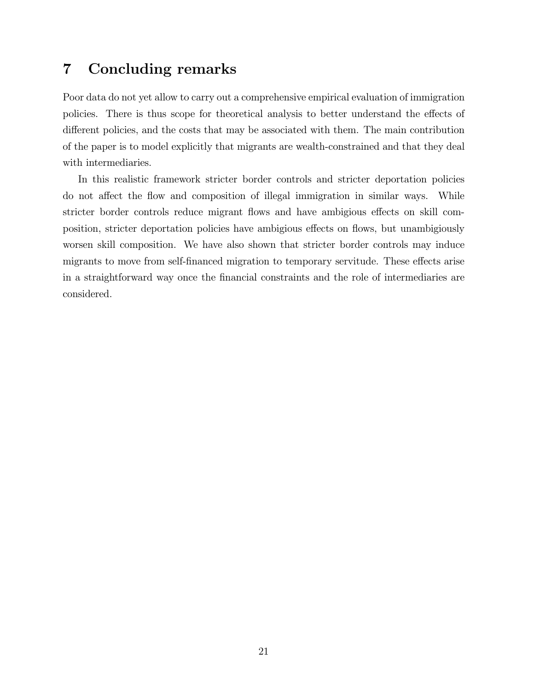# 7 Concluding remarks

Poor data do not yet allow to carry out a comprehensive empirical evaluation of immigration policies. There is thus scope for theoretical analysis to better understand the effects of different policies, and the costs that may be associated with them. The main contribution of the paper is to model explicitly that migrants are wealth-constrained and that they deal with intermediaries.

In this realistic framework stricter border controls and stricter deportation policies do not affect the flow and composition of illegal immigration in similar ways. While stricter border controls reduce migrant flows and have ambigious effects on skill composition, stricter deportation policies have ambigious effects on flows, but unambigiously worsen skill composition. We have also shown that stricter border controls may induce migrants to move from self-financed migration to temporary servitude. These effects arise in a straightforward way once the financial constraints and the role of intermediaries are considered.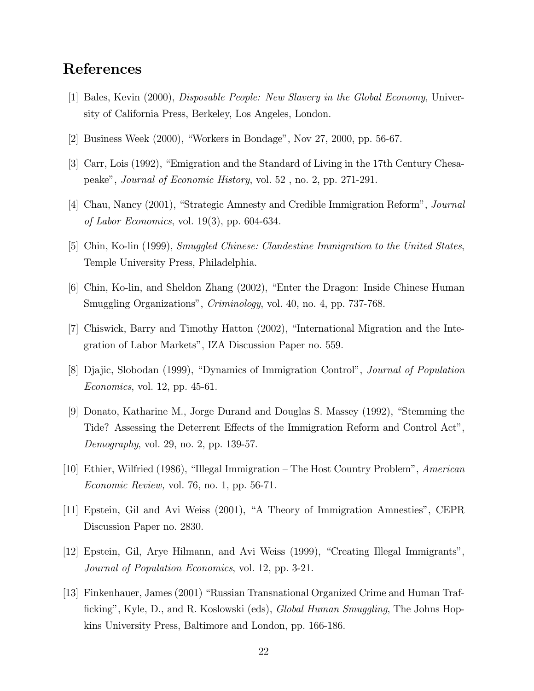# References

- [1] Bales, Kevin (2000), Disposable People: New Slavery in the Global Economy, University of California Press, Berkeley, Los Angeles, London.
- [2] Business Week (2000), "Workers in Bondage", Nov 27, 2000, pp. 56-67.
- [3] Carr, Lois (1992), "Emigration and the Standard of Living in the 17th Century Chesapeake", Journal of Economic History, vol. 52 , no. 2, pp. 271-291.
- [4] Chau, Nancy (2001), "Strategic Amnesty and Credible Immigration Reform", Journal of Labor Economics, vol. 19(3), pp. 604-634.
- [5] Chin, Ko-lin (1999), Smuggled Chinese: Clandestine Immigration to the United States, Temple University Press, Philadelphia.
- [6] Chin, Ko-lin, and Sheldon Zhang (2002), "Enter the Dragon: Inside Chinese Human Smuggling Organizations", *Criminology*, vol. 40, no. 4, pp. 737-768.
- [7] Chiswick, Barry and Timothy Hatton (2002), "International Migration and the Integration of Labor Markets", IZA Discussion Paper no. 559.
- [8] Djajic, Slobodan (1999), "Dynamics of Immigration Control", Journal of Population Economics, vol. 12, pp. 45-61.
- [9] Donato, Katharine M., Jorge Durand and Douglas S. Massey (1992), "Stemming the Tide? Assessing the Deterrent Effects of the Immigration Reform and Control Act", Demography, vol. 29, no. 2, pp. 139-57.
- [10] Ethier, Wilfried (1986), "Illegal Immigration The Host Country Problem", American Economic Review, vol. 76, no. 1, pp. 56-71.
- [11] Epstein, Gil and Avi Weiss (2001), "A Theory of Immigration Amnesties", CEPR Discussion Paper no. 2830.
- [12] Epstein, Gil, Arye Hilmann, and Avi Weiss (1999), "Creating Illegal Immigrants", Journal of Population Economics, vol. 12, pp. 3-21.
- [13] Finkenhauer, James (2001) "Russian Transnational Organized Crime and Human Trafficking", Kyle, D., and R. Koslowski (eds), *Global Human Smuggling*, The Johns Hopkins University Press, Baltimore and London, pp. 166-186.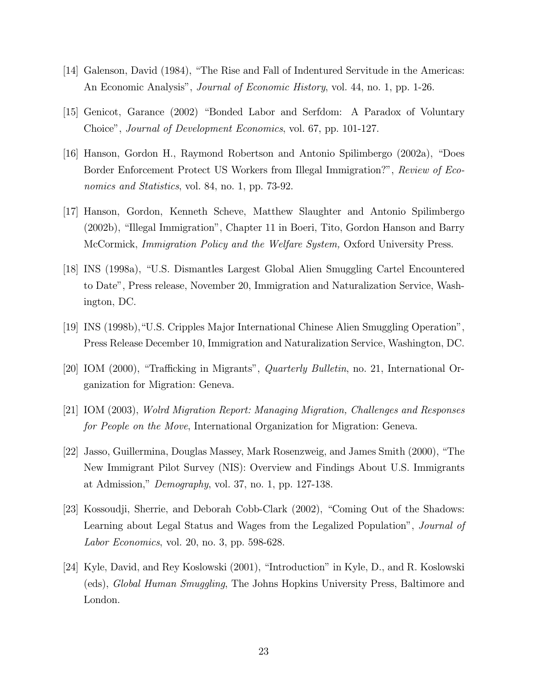- [14] Galenson, David (1984), "The Rise and Fall of Indentured Servitude in the Americas: An Economic Analysis", *Journal of Economic History*, vol. 44, no. 1, pp. 1-26.
- [15] Genicot, Garance (2002) "Bonded Labor and Serfdom: A Paradox of Voluntary Choice", Journal of Development Economics, vol. 67, pp. 101-127.
- [16] Hanson, Gordon H., Raymond Robertson and Antonio Spilimbergo (2002a), "Does Border Enforcement Protect US Workers from Illegal Immigration?", Review of Economics and Statistics, vol. 84, no. 1, pp. 73-92.
- [17] Hanson, Gordon, Kenneth Scheve, Matthew Slaughter and Antonio Spilimbergo (2002b), "Illegal Immigration", Chapter 11 in Boeri, Tito, Gordon Hanson and Barry McCormick, Immigration Policy and the Welfare System, Oxford University Press.
- [18] INS (1998a), "U.S. Dismantles Largest Global Alien Smuggling Cartel Encountered to Date", Press release, November 20, Immigration and Naturalization Service, Washington, DC.
- [19] INS (1998b),"U.S. Cripples Major International Chinese Alien Smuggling Operation", Press Release December 10, Immigration and Naturalization Service, Washington, DC.
- [20] IOM (2000), "Trafficking in Migrants", Quarterly Bulletin, no. 21, International Organization for Migration: Geneva.
- [21] IOM (2003), Wolrd Migration Report: Managing Migration, Challenges and Responses for People on the Move, International Organization for Migration: Geneva.
- [22] Jasso, Guillermina, Douglas Massey, Mark Rosenzweig, and James Smith (2000), "The New Immigrant Pilot Survey (NIS): Overview and Findings About U.S. Immigrants at Admission," Demography, vol. 37, no. 1, pp. 127-138.
- [23] Kossoudji, Sherrie, and Deborah Cobb-Clark (2002), "Coming Out of the Shadows: Learning about Legal Status and Wages from the Legalized Population", *Journal of* Labor Economics, vol. 20, no. 3, pp. 598-628.
- [24] Kyle, David, and Rey Koslowski (2001), "Introduction" in Kyle, D., and R. Koslowski (eds), Global Human Smuggling, The Johns Hopkins University Press, Baltimore and London.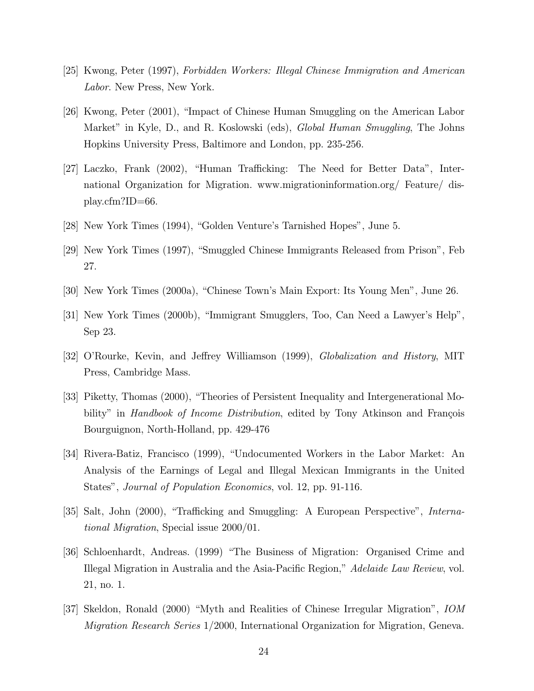- [25] Kwong, Peter (1997), Forbidden Workers: Illegal Chinese Immigration and American Labor. New Press, New York.
- [26] Kwong, Peter (2001), "Impact of Chinese Human Smuggling on the American Labor Market" in Kyle, D., and R. Koslowski (eds), *Global Human Smuggling*, The Johns Hopkins University Press, Baltimore and London, pp. 235-256.
- [27] Laczko, Frank (2002), "Human Trafficking: The Need for Better Data", International Organization for Migration. www.migrationinformation.org/ Feature/ display.cfm?ID=66.
- [28] New York Times (1994), "Golden Venture's Tarnished Hopes", June 5.
- [29] New York Times (1997), "Smuggled Chinese Immigrants Released from Prison", Feb 27.
- [30] New York Times (2000a), "Chinese Town's Main Export: Its Young Men", June 26.
- [31] New York Times (2000b), "Immigrant Smugglers, Too, Can Need a Lawyer's Help", Sep 23.
- [32] O'Rourke, Kevin, and Jeffrey Williamson (1999), Globalization and History, MIT Press, Cambridge Mass.
- [33] Piketty, Thomas (2000), "Theories of Persistent Inequality and Intergenerational Mobility" in *Handbook of Income Distribution*, edited by Tony Atkinson and François Bourguignon, North-Holland, pp. 429-476
- [34] Rivera-Batiz, Francisco (1999), "Undocumented Workers in the Labor Market: An Analysis of the Earnings of Legal and Illegal Mexican Immigrants in the United States", Journal of Population Economics, vol. 12, pp. 91-116.
- [35] Salt, John (2000), "Trafficking and Smuggling: A European Perspective", International Migration, Special issue 2000/01.
- [36] Schloenhardt, Andreas. (1999) "The Business of Migration: Organised Crime and Illegal Migration in Australia and the Asia-Pacific Region," Adelaide Law Review, vol. 21, no. 1.
- [37] Skeldon, Ronald (2000) "Myth and Realities of Chinese Irregular Migration", IOM Migration Research Series 1/2000, International Organization for Migration, Geneva.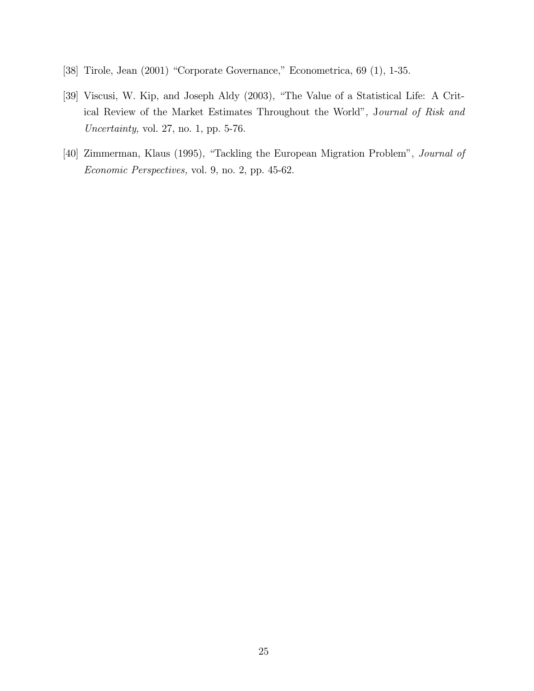- [38] Tirole, Jean (2001) "Corporate Governance," Econometrica, 69 (1), 1-35.
- [39] Viscusi, W. Kip, and Joseph Aldy (2003), "The Value of a Statistical Life: A Critical Review of the Market Estimates Throughout the World", Journal of Risk and Uncertainty, vol. 27, no. 1, pp. 5-76.
- [40] Zimmerman, Klaus (1995), "Tackling the European Migration Problem", Journal of Economic Perspectives, vol. 9, no. 2, pp. 45-62.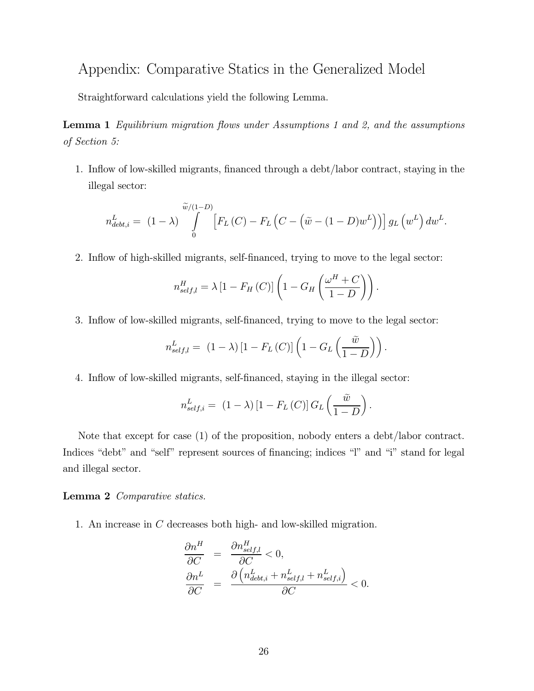# Appendix: Comparative Statics in the Generalized Model

Straightforward calculations yield the following Lemma.

Lemma 1 Equilibrium migration flows under Assumptions 1 and 2, and the assumptions of Section 5:

1. Inflow of low-skilled migrants, financed through a debt/labor contract, staying in the illegal sector:

$$
n_{debt,i}^L = (1 - \lambda) \int\limits_{0}^{\widetilde{w}/(1-D)} \left[ F_L(C) - F_L\left(C - \left(\widetilde{w} - (1-D)w^L\right)\right) \right] g_L\left(w^L\right) dw^L.
$$

2. Inflow of high-skilled migrants, self-financed, trying to move to the legal sector:

$$
n_{self,l}^{H} = \lambda \left[ 1 - F_H(C) \right] \left( 1 - G_H \left( \frac{\omega^H + C}{1 - D} \right) \right).
$$

3. Inflow of low-skilled migrants, self-financed, trying to move to the legal sector:

$$
n_{self,l}^{L} = (1 - \lambda) [1 - F_L(C)] \left( 1 - G_L\left(\frac{\tilde{w}}{1 - D}\right) \right).
$$

4. Inflow of low-skilled migrants, self-financed, staying in the illegal sector:

$$
n_{self,i}^{L} = (1 - \lambda) [1 - F_L(C)] G_L\left(\frac{\tilde{w}}{1 - D}\right).
$$

Note that except for case (1) of the proposition, nobody enters a debt/labor contract. Indices "debt" and "self" represent sources of financing; indices "l" and "i" stand for legal and illegal sector.

#### Lemma 2 Comparative statics.

1. An increase in C decreases both high- and low-skilled migration.

$$
\frac{\partial n^H}{\partial C} = \frac{\partial n_{self,l}^H}{\partial C} < 0,
$$
  

$$
\frac{\partial n^L}{\partial C} = \frac{\partial \left( n_{debt,i}^L + n_{self,l}^L + n_{self,i}^L \right)}{\partial C} < 0.
$$